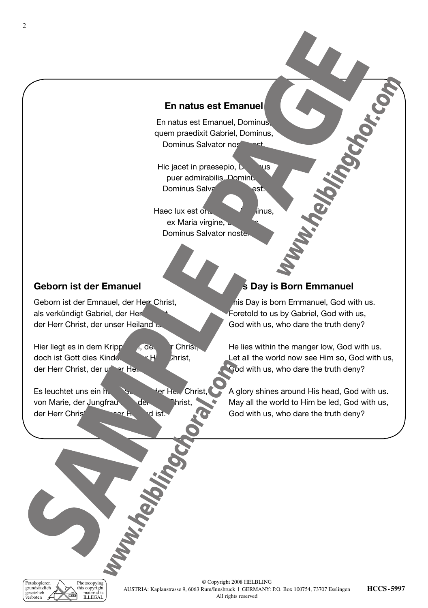## **En natus est Emanuel**

En natus est Emanuel, Dominus, quem praedixit Gabriel, Dominus, Dominus Salvator nos

Hic jacet in praesepio, **Dominus** puer admirabilis, Dominus Dominus Salvator nostest.

Haec lux est orta hodie, Dominus, ex Maria virgine, Dominus Salvator noste.

## **Geborn ist der Emanuel**

Geborn ist der Emnauel, der Herr Christ, als verkündigt Gabriel, der Her der Herr Christ, der unser Heiland ist.

Hier liegt es in dem Krippelein, der Herr Christ, doch ist Gott dies Kindelein, der Herr Christ, der Herr Christ, der under Heil

Es leuchtet uns ein heller Schein, der Hein Christ, von Marie, der Jungfrau der Christ, der Herr Christ, der Herr Christ,

# **S Day is Born Emmanuel**

his Day is born Emmanuel, God with us. Foretold to us by Gabriel, God with us, God with us, who dare the truth deny?

He lies within the manger low, God with us. Let all the world now see Him so, God with us, God with us, who dare the truth deny?

A glory shines around His head, God with us. May all the world to Him be led, God with us, God with us, who dare the truth deny?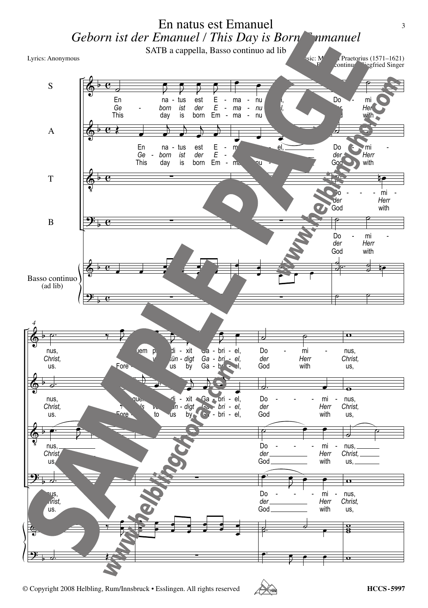SATB a cappella, Basso continuo ad lib

Lyrics: Anonymous



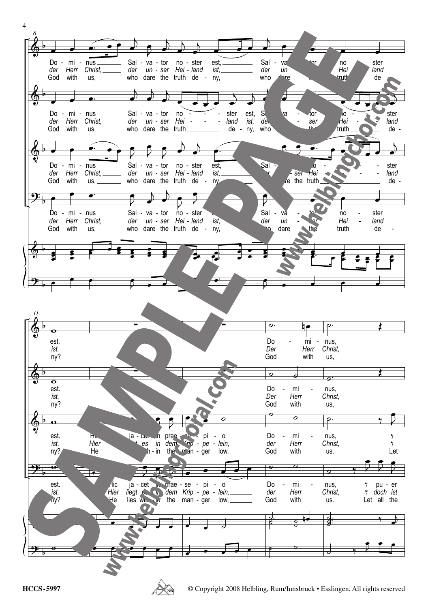

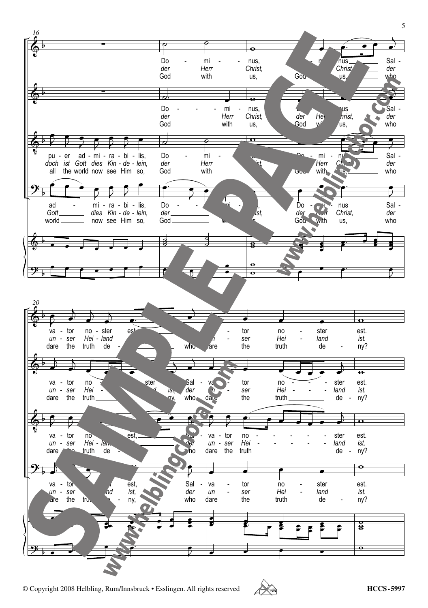

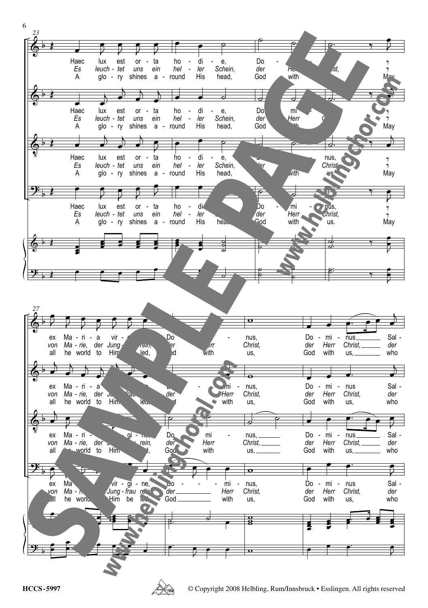